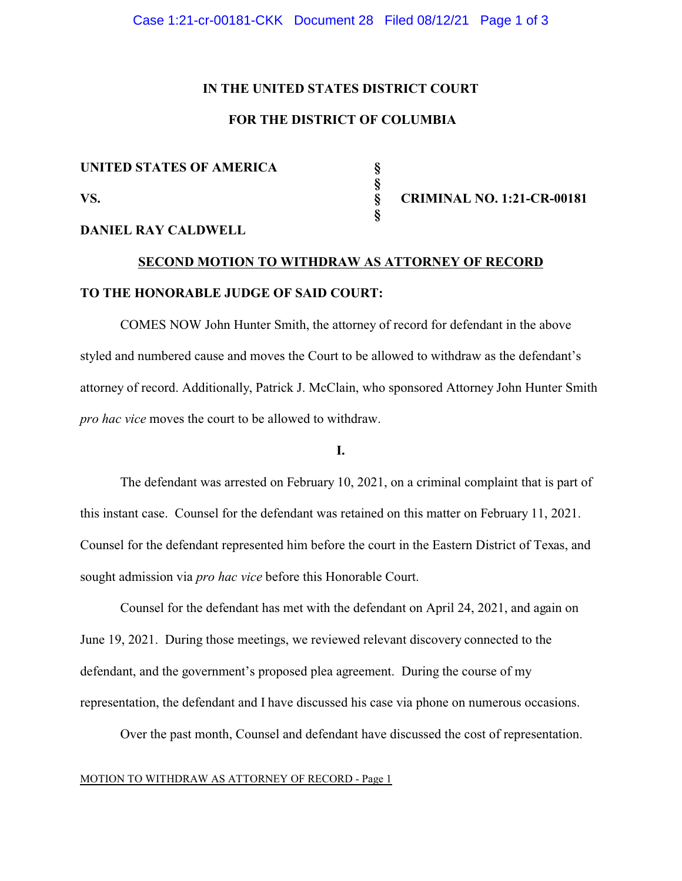#### Case 1:21-cr-00181-CKK Document 28 Filed 08/12/21 Page 1 of 3

#### **IN THE UNITED STATES DISTRICT COURT**

## **FOR THE DISTRICT OF COLUMBIA**

 **§**

 **§**

# UNITED STATES OF AMERICA<br> **§**<br>
VS.<br>
§

**VS. § CRIMINAL NO. 1:21-CR-00181**

#### **DANIEL RAY CALDWELL**

## **SECOND MOTION TO WITHDRAW AS ATTORNEY OF RECORD TO THE HONORABLE JUDGE OF SAID COURT:**

COMES NOW John Hunter Smith, the attorney of record for defendant in the above styled and numbered cause and moves the Court to be allowed to withdraw as the defendant's attorney of record. Additionally, Patrick J. McClain, who sponsored Attorney John Hunter Smith *pro hac vice* moves the court to be allowed to withdraw.

#### **I.**

The defendant was arrested on February 10, 2021, on a criminal complaint that is part of this instant case. Counsel for the defendant was retained on this matter on February 11, 2021. Counsel for the defendant represented him before the court in the Eastern District of Texas, and sought admission via *pro hac vice* before this Honorable Court.

Counsel for the defendant has met with the defendant on April 24, 2021, and again on June 19, 2021. During those meetings, we reviewed relevant discovery connected to the defendant, and the government's proposed plea agreement. During the course of my representation, the defendant and I have discussed his case via phone on numerous occasions.

Over the past month, Counsel and defendant have discussed the cost of representation.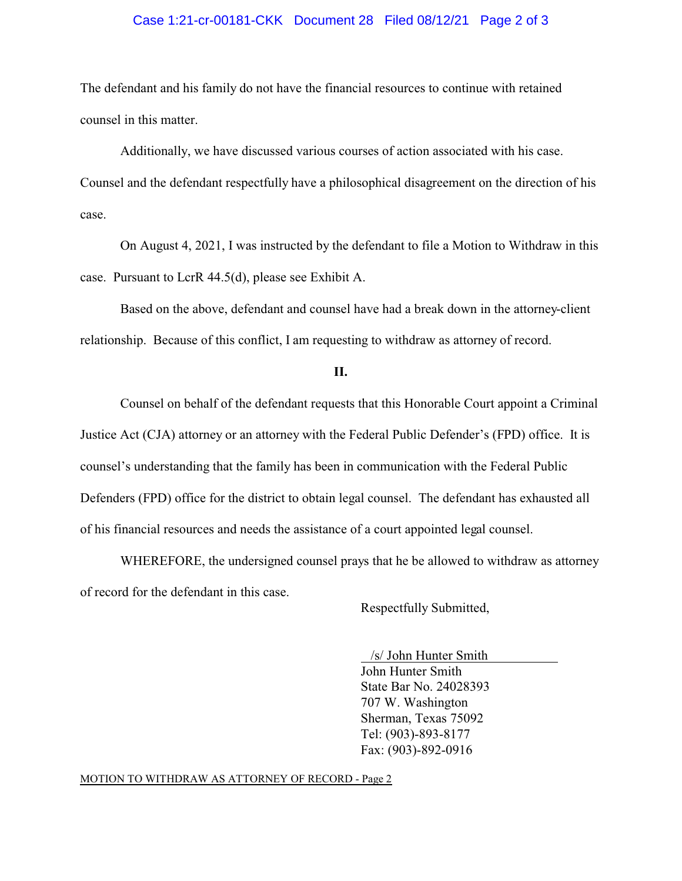#### Case 1:21-cr-00181-CKK Document 28 Filed 08/12/21 Page 2 of 3

The defendant and his family do not have the financial resources to continue with retained counsel in this matter.

Additionally, we have discussed various courses of action associated with his case. Counsel and the defendant respectfully have a philosophical disagreement on the direction of his case.

On August 4, 2021, I was instructed by the defendant to file a Motion to Withdraw in this case. Pursuant to LcrR 44.5(d), please see Exhibit A.

Based on the above, defendant and counsel have had a break down in the attorney-client relationship. Because of this conflict, I am requesting to withdraw as attorney of record.

#### **II.**

Counsel on behalf of the defendant requests that this Honorable Court appoint a Criminal Justice Act (CJA) attorney or an attorney with the Federal Public Defender's (FPD) office. It is counsel's understanding that the family has been in communication with the Federal Public Defenders (FPD) office for the district to obtain legal counsel. The defendant has exhausted all of his financial resources and needs the assistance of a court appointed legal counsel.

WHEREFORE, the undersigned counsel prays that he be allowed to withdraw as attorney of record for the defendant in this case.

Respectfully Submitted,

 /s/ John Hunter Smith John Hunter Smith State Bar No. 24028393 707 W. Washington Sherman, Texas 75092 Tel: (903)-893-8177 Fax: (903)-892-0916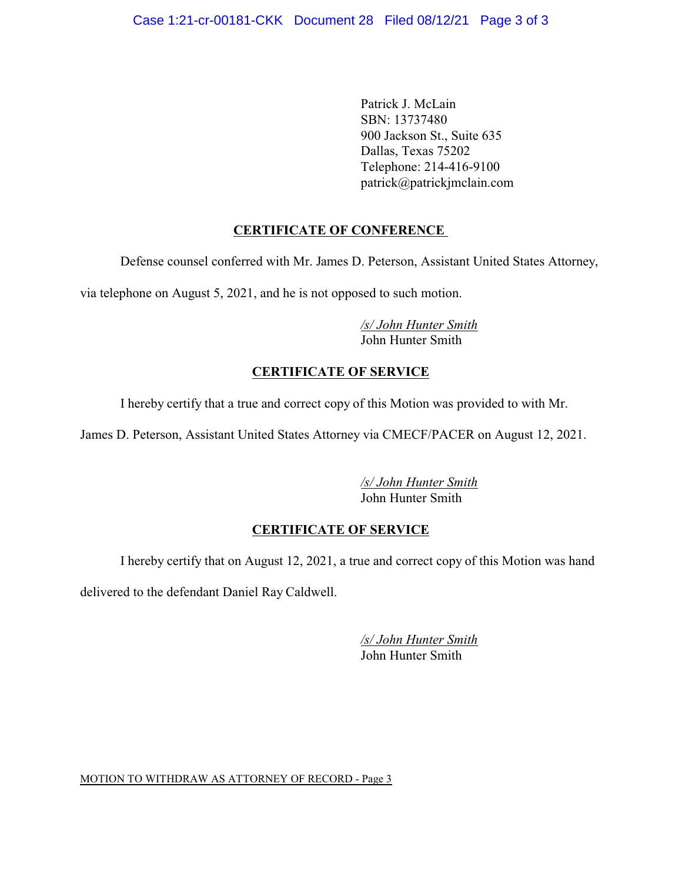Patrick J. McLain SBN: 13737480 900 Jackson St., Suite 635 Dallas, Texas 75202 Telephone: 214-416-9100 patrick@patrickjmclain.com

## **CERTIFICATE OF CONFERENCE**

Defense counsel conferred with Mr. James D. Peterson, Assistant United States Attorney,

via telephone on August 5, 2021, and he is not opposed to such motion.

*/s/ John Hunter Smith* John Hunter Smith

## **CERTIFICATE OF SERVICE**

I hereby certify that a true and correct copy of this Motion was provided to with Mr.

James D. Peterson, Assistant United States Attorney via CMECF/PACER on August 12, 2021.

*/s/ John Hunter Smith* John Hunter Smith

## **CERTIFICATE OF SERVICE**

I hereby certify that on August 12, 2021, a true and correct copy of this Motion was hand

delivered to the defendant Daniel Ray Caldwell.

*/s/ John Hunter Smith* John Hunter Smith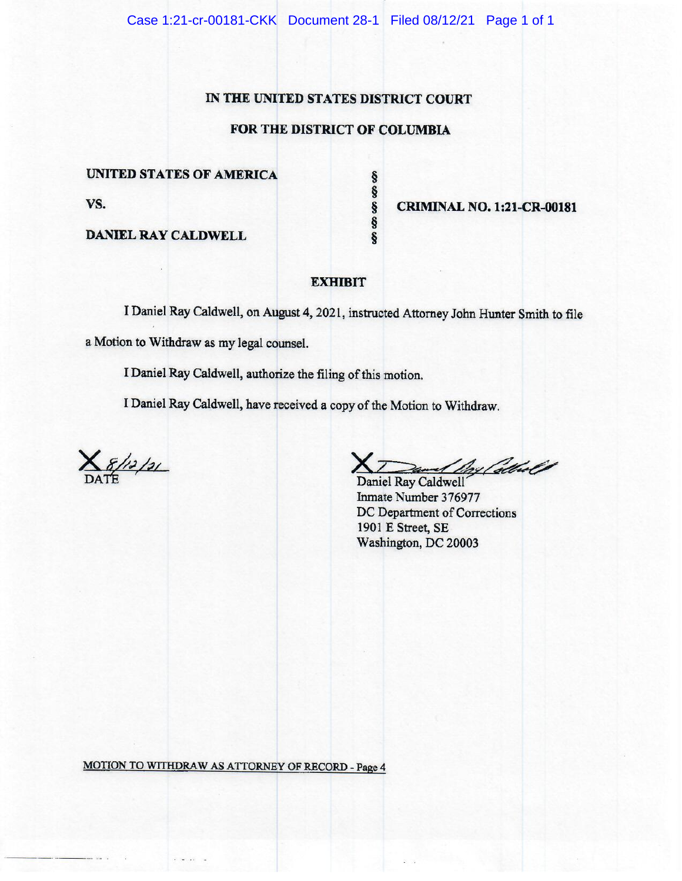#### IN THE UNITED STATES DISTRICT COURT

## FOR THE DISTRICT OF COLUMBIA

က က တ က

ş

#### UNITED STATES OF AMERICA

VS.

**DANIEL RAY CALDWELL** 

**CRIMINAL NO. 1:21-CR-00181** 

#### **EXHIBIT**

I Daniel Ray Caldwell, on August 4, 2021, instructed Attorney John Hunter Smith to file a Motion to Withdraw as my legal counsel.

I Daniel Ray Caldwell, authorize the filing of this motion.

I Daniel Ray Caldwell, have received a copy of the Motion to Withdraw.

 $8/12/21$ 

A Port albert

Daniel Ray Caldwell Inmate Number 376977 DC Department of Corrections 1901 E Street, SE Washington, DC 20003